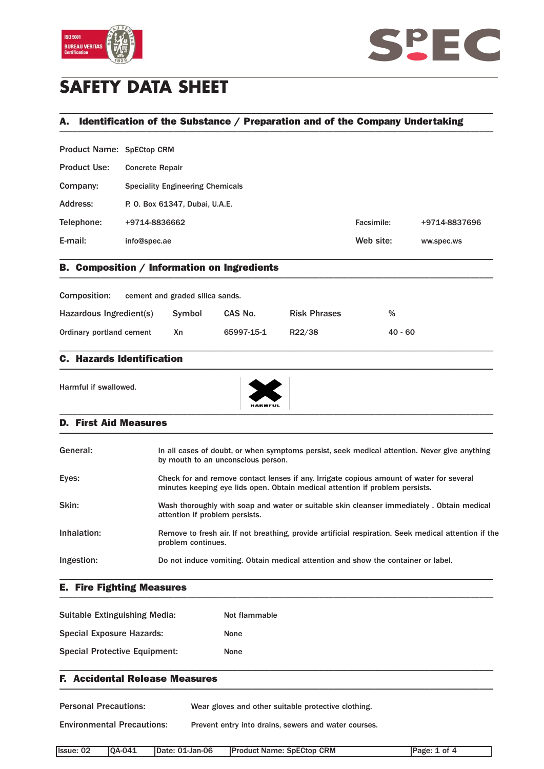



# **SAFETY DATA SHEET**

## A. Identification of the Substance / Preparation and of the Company Undertaking \_\_\_\_\_\_\_\_\_\_\_\_\_\_\_\_\_\_\_\_\_\_\_\_\_\_\_\_\_\_\_\_\_\_\_\_\_\_\_\_\_\_\_\_\_\_\_\_\_\_\_\_\_\_\_\_\_\_\_\_\_\_\_\_\_\_\_\_\_\_\_\_\_\_\_\_\_\_\_\_\_\_\_\_\_\_\_\_\_\_\_\_\_\_\_

\_\_\_\_\_\_\_\_\_\_\_\_\_\_\_\_\_\_\_\_\_\_\_\_\_\_\_\_\_\_\_\_\_\_\_\_\_\_\_\_\_\_\_\_\_\_\_\_\_\_\_\_\_\_\_\_\_\_\_\_\_\_\_\_\_\_\_\_\_\_\_\_\_\_\_\_\_\_\_\_\_\_\_\_\_\_\_\_\_\_\_\_\_\_\_

| Product Name: SpECtop CRM |                                         |            |               |
|---------------------------|-----------------------------------------|------------|---------------|
| <b>Product Use:</b>       | <b>Concrete Repair</b>                  |            |               |
| Company:                  | <b>Speciality Engineering Chemicals</b> |            |               |
| Address:                  | P. O. Box 61347, Dubai, U.A.E.          |            |               |
| Telephone:                | +9714-8836662                           | Facsimile: | +9714-8837696 |
| E-mail:                   | info@spec.ae                            | Web site:  | ww.spec.ws    |
|                           |                                         |            |               |

### B. Composition / Information on Ingredients \_\_\_\_\_\_\_\_\_\_\_\_\_\_\_\_\_\_\_\_\_\_\_\_\_\_\_\_\_\_\_\_\_\_\_\_\_\_\_\_\_\_\_\_\_\_\_\_\_\_\_\_\_\_\_\_\_\_\_\_\_\_\_\_\_\_\_\_\_\_\_\_\_\_\_\_\_\_\_\_\_\_\_\_\_\_\_\_\_\_\_\_\_\_\_

| Composition:             | cement and graded silica sands. |            |                     |           |
|--------------------------|---------------------------------|------------|---------------------|-----------|
| Hazardous Ingredient(s)  | Symbol                          | CAS No.    | <b>Risk Phrases</b> | %         |
| Ordinary portland cement | Χn                              | 65997-15-1 | R22/38              | $40 - 60$ |

\_\_\_\_\_\_\_\_\_\_\_\_\_\_\_\_\_\_\_\_\_\_\_\_\_\_\_\_\_\_\_\_\_\_\_\_\_\_\_\_\_\_\_\_\_\_\_\_\_\_\_\_\_\_\_\_\_\_\_\_\_\_\_\_\_\_\_\_\_\_\_\_\_\_\_\_\_\_\_\_\_\_\_\_\_\_\_\_\_\_\_\_\_\_\_

### C. Hazards Identification  $\blacksquare$

Harmful if swallowed.



#### D. First Aid Measures \_\_\_\_\_\_\_\_\_\_\_\_\_\_\_\_\_\_\_\_\_\_\_\_\_\_\_\_\_\_\_\_\_\_\_\_\_\_\_\_\_\_\_\_\_\_\_\_\_\_\_\_\_\_\_\_\_\_\_\_\_\_\_\_\_\_\_\_\_\_\_\_\_\_\_\_\_\_\_\_\_\_\_\_\_\_\_\_\_\_\_\_\_\_\_

| In all cases of doubt, or when symptoms persist, seek medical attention. Never give anything<br>by mouth to an unconscious person.                                       |
|--------------------------------------------------------------------------------------------------------------------------------------------------------------------------|
| Check for and remove contact lenses if any. Irrigate copious amount of water for several<br>minutes keeping eye lids open. Obtain medical attention if problem persists. |
| Wash thoroughly with soap and water or suitable skin cleanser immediately. Obtain medical<br>attention if problem persists.                                              |
| Remove to fresh air. If not breathing, provide artificial respiration. Seek medical attention if the<br>problem continues.                                               |
| Do not induce vomiting. Obtain medical attention and show the container or label.                                                                                        |
|                                                                                                                                                                          |

#### E. Fire Fighting Measures \_\_\_\_\_\_\_\_\_\_\_\_\_\_\_\_\_\_\_\_\_\_\_\_\_\_\_\_\_\_\_\_\_\_\_\_\_\_\_\_\_\_\_\_\_\_\_\_\_\_\_\_\_\_\_\_\_\_\_\_\_\_\_\_\_\_\_\_\_\_\_\_\_\_\_\_\_\_\_\_\_\_\_\_\_\_\_\_\_\_\_\_\_\_\_

| Suitable Extinguishing Media:        | Not flammable |
|--------------------------------------|---------------|
| <b>Special Exposure Hazards:</b>     | <b>None</b>   |
| <b>Special Protective Equipment:</b> | <b>None</b>   |

### F. Accidental Release Measures  $\blacksquare$

Personal Precautions: Wear gloves and other suitable protective clothing.

Environmental Precautions: Prevent entry into drains, sewers and water courses.

| llssue: 02 | <b>IOA-041</b> | Date: 01-Jan-06 | <b>IProduct Name: SpECtop CRM</b> | IPage: 1 of |
|------------|----------------|-----------------|-----------------------------------|-------------|

\_\_\_\_\_\_\_\_\_\_\_\_\_\_\_\_\_\_\_\_\_\_\_\_\_\_\_\_\_\_\_\_\_\_\_\_\_\_\_\_\_\_\_\_\_\_\_\_\_\_\_\_\_\_\_\_\_\_\_\_\_\_\_\_\_\_\_\_\_\_\_\_\_\_\_\_\_\_\_\_\_\_\_\_\_\_\_\_\_\_\_\_\_\_\_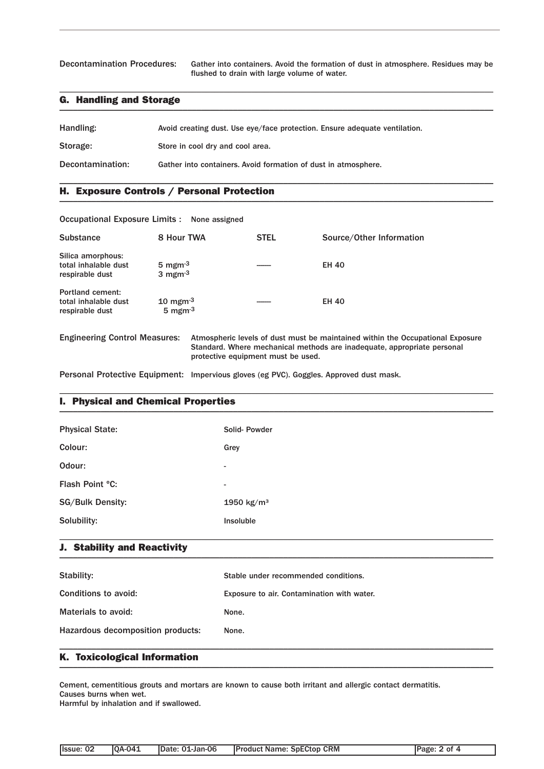Decontamination Procedures: Gather into containers. Avoid the formation of dust in atmosphere. Residues may be flushed to drain with large volume of water.

### G. Handling and Storage \_\_\_\_\_\_\_\_\_\_\_\_\_\_\_\_\_\_\_\_\_\_\_\_\_\_\_\_\_\_\_\_\_\_\_\_\_\_\_\_\_\_\_\_\_\_\_\_\_\_\_\_\_\_\_\_\_\_\_\_\_\_\_\_\_\_\_\_\_\_\_\_\_\_\_\_\_\_\_\_\_\_\_\_\_\_\_\_\_\_\_\_\_\_\_

| Handling:        | Avoid creating dust. Use eye/face protection. Ensure adequate ventilation. |
|------------------|----------------------------------------------------------------------------|
| Storage:         | Store in cool dry and cool area.                                           |
| Decontamination: | Gather into containers. Avoid formation of dust in atmosphere.             |

\_\_\_\_\_\_\_\_\_\_\_\_\_\_\_\_\_\_\_\_\_\_\_\_\_\_\_\_\_\_\_\_\_\_\_\_\_\_\_\_\_\_\_\_\_\_\_\_\_\_\_\_\_\_\_\_\_\_\_\_\_\_\_\_\_\_\_\_\_\_\_\_\_\_\_\_\_\_\_\_\_\_\_\_\_\_\_\_\_\_\_\_\_\_\_

\_\_\_\_\_\_\_\_\_\_\_\_\_\_\_\_\_\_\_\_\_\_\_\_\_\_\_\_\_\_\_\_\_\_\_\_\_\_\_\_\_\_\_\_\_\_\_\_\_\_\_\_\_\_\_\_\_\_\_\_\_\_\_\_\_\_\_\_\_\_\_\_\_\_\_\_\_\_\_\_\_\_\_\_\_\_\_\_\_\_\_\_\_\_\_

### H. Exposure Controls / Personal Protection \_\_\_\_\_\_\_\_\_\_\_\_\_\_\_\_\_\_\_\_\_\_\_\_\_\_\_\_\_\_\_\_\_\_\_\_\_\_\_\_\_\_\_\_\_\_\_\_\_\_\_\_\_\_\_\_\_\_\_\_\_\_\_\_\_\_\_\_\_\_\_\_\_\_\_\_\_\_\_\_\_\_\_\_\_\_\_\_\_\_\_\_\_\_\_

| Occupational Exposure Limits : None assigned                       |                                                                |                                    |                                                                                                                                                           |
|--------------------------------------------------------------------|----------------------------------------------------------------|------------------------------------|-----------------------------------------------------------------------------------------------------------------------------------------------------------|
| <b>Substance</b>                                                   | 8 Hour TWA                                                     | <b>STEL</b>                        | Source/Other Information                                                                                                                                  |
| Silica amorphous:<br>total inhalable dust<br>respirable dust       | 5 mgm $^{-3}$<br>3 mgm $^{-3}$                                 |                                    | <b>EH 40</b>                                                                                                                                              |
| <b>Portland cement:</b><br>total inhalable dust<br>respirable dust | $10 \text{ mgm}$ <sup>-3</sup><br>$5 \text{ mgm}$ <sup>3</sup> |                                    | <b>EH 40</b>                                                                                                                                              |
| <b>Engineering Control Measures:</b>                               |                                                                | protective equipment must be used. | Atmospheric levels of dust must be maintained within the Occupational Exposure<br>Standard. Where mechanical methods are inadequate, appropriate personal |

Personal Protective Equipment: Impervious gloves (eg PVC). Goggles. Approved dust mask.

### I. Physical and Chemical Properties \_\_\_\_\_\_\_\_\_\_\_\_\_\_\_\_\_\_\_\_\_\_\_\_\_\_\_\_\_\_\_\_\_\_\_\_\_\_\_\_\_\_\_\_\_\_\_\_\_\_\_\_\_\_\_\_\_\_\_\_\_\_\_\_\_\_\_\_\_\_\_\_\_\_\_\_\_\_\_\_\_\_\_\_\_\_\_\_\_\_\_\_\_\_\_

| <b>Physical State:</b>  | Solid-Powder             |
|-------------------------|--------------------------|
| Colour:                 | Grey                     |
| Odour:                  | $\overline{\phantom{a}}$ |
| Flash Point °C:         | $\overline{\phantom{a}}$ |
| <b>SG/Bulk Density:</b> | 1950 $kg/m^3$            |
| Solubility:             | Insoluble                |
|                         |                          |

\_\_\_\_\_\_\_\_\_\_\_\_\_\_\_\_\_\_\_\_\_\_\_\_\_\_\_\_\_\_\_\_\_\_\_\_\_\_\_\_\_\_\_\_\_\_\_\_\_\_\_\_\_\_\_\_\_\_\_\_\_\_\_\_\_\_\_\_\_\_\_\_\_\_\_\_\_\_\_\_\_\_\_\_\_\_\_\_\_\_\_\_\_\_\_

#### J. Stability and Reactivity  $\blacksquare$

| Stability:                        | Stable under recommended conditions.       |
|-----------------------------------|--------------------------------------------|
| Conditions to avoid:              | Exposure to air. Contamination with water. |
| Materials to avoid:               | None.                                      |
| Hazardous decomposition products: | None.                                      |
|                                   |                                            |

### K. Toxicological Information \_\_\_\_\_\_\_\_\_\_\_\_\_\_\_\_\_\_\_\_\_\_\_\_\_\_\_\_\_\_\_\_\_\_\_\_\_\_\_\_\_\_\_\_\_\_\_\_\_\_\_\_\_\_\_\_\_\_\_\_\_\_\_\_\_\_\_\_\_\_\_\_\_\_\_\_\_\_\_\_\_\_\_\_\_\_\_\_\_\_\_\_\_\_\_

Cement, cementitious grouts and mortars are known to cause both irritant and allergic contact dermatitis. Causes burns when wet.

Harmful by inhalation and if swallowed.

| llssue: 02 | <b>IOA-041</b> | IDate: 01-Jan-06 | <b>IProduct Name: SpECtop CRM</b> | Page: 2 of 4 |
|------------|----------------|------------------|-----------------------------------|--------------|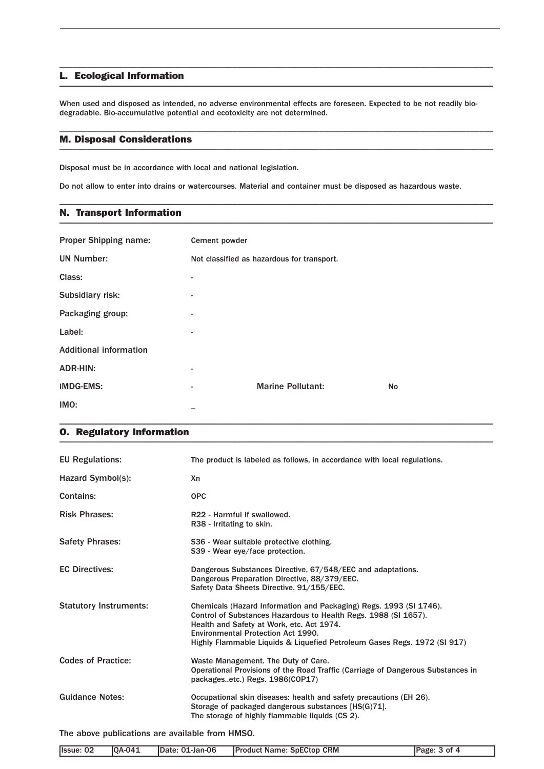#### L. Ecological Information \_\_\_\_\_\_\_\_\_\_\_\_\_\_\_\_\_\_\_\_\_\_\_\_\_\_\_\_\_\_\_\_\_\_\_\_\_\_\_\_\_\_\_\_\_\_\_\_\_\_\_\_\_\_\_\_\_\_\_\_\_\_\_\_\_\_\_\_\_\_\_\_\_\_\_\_\_\_\_\_\_\_\_\_\_\_\_\_\_\_\_\_\_\_\_

When used and disposed as intended, no adverse environmental effects are foreseen. Expected to be not readily biodegradable. Bio-accumulative potential and ecotoxicity are not determined.

\_\_\_\_\_\_\_\_\_\_\_\_\_\_\_\_\_\_\_\_\_\_\_\_\_\_\_\_\_\_\_\_\_\_\_\_\_\_\_\_\_\_\_\_\_\_\_\_\_\_\_\_\_\_\_\_\_\_\_\_\_\_\_\_\_\_\_\_\_\_\_\_\_\_\_\_\_\_\_\_\_\_\_\_\_\_\_\_\_\_\_\_\_\_\_

\_\_\_\_\_\_\_\_\_\_\_\_\_\_\_\_\_\_\_\_\_\_\_\_\_\_\_\_\_\_\_\_\_\_\_\_\_\_\_\_\_\_\_\_\_\_\_\_\_\_\_\_\_\_\_\_\_\_\_\_\_\_\_\_\_\_\_\_\_\_\_\_\_\_\_\_\_\_\_\_\_\_\_\_\_\_\_\_\_\_\_\_\_\_\_

\_\_\_\_\_\_\_\_\_\_\_\_\_\_\_\_\_\_\_\_\_\_\_\_\_\_\_\_\_\_\_\_\_\_\_\_\_\_\_\_\_\_\_\_\_\_\_\_\_\_\_\_\_\_\_\_\_\_\_\_\_\_\_\_\_\_\_\_\_\_\_\_\_\_\_\_\_\_\_\_\_\_\_\_\_\_\_\_\_\_\_\_\_\_\_

#### M. Disposal Considerations \_\_\_\_\_\_\_\_\_\_\_\_\_\_\_\_\_\_\_\_\_\_\_\_\_\_\_\_\_\_\_\_\_\_\_\_\_\_\_\_\_\_\_\_\_\_\_\_\_\_\_\_\_\_\_\_\_\_\_\_\_\_\_\_\_\_\_\_\_\_\_\_\_\_\_\_\_\_\_\_\_\_\_\_\_\_\_\_\_\_\_\_\_\_\_

Disposal must be in accordance with local and national legislation.

Do not allow to enter into drains or watercourses. Material and container must be disposed as hazardous waste.

### N. Transport Information \_\_\_\_\_\_\_\_\_\_\_\_\_\_\_\_\_\_\_\_\_\_\_\_\_\_\_\_\_\_\_\_\_\_\_\_\_\_\_\_\_\_\_\_\_\_\_\_\_\_\_\_\_\_\_\_\_\_\_\_\_\_\_\_\_\_\_\_\_\_\_\_\_\_\_\_\_\_\_\_\_\_\_\_\_\_\_\_\_\_\_\_\_\_\_

| <b>Proper Shipping name:</b>  | Cement powder            |                                            |    |
|-------------------------------|--------------------------|--------------------------------------------|----|
| <b>UN Number:</b>             |                          | Not classified as hazardous for transport. |    |
| Class:                        |                          |                                            |    |
| Subsidiary risk:              | $\overline{\phantom{a}}$ |                                            |    |
| Packaging group:              | $\overline{\phantom{0}}$ |                                            |    |
| Label:                        | ۰.                       |                                            |    |
| <b>Additional information</b> |                          |                                            |    |
| <b>ADR-HIN:</b>               | $\overline{\phantom{0}}$ |                                            |    |
| <b>IMDG-EMS:</b>              | -                        | <b>Marine Pollutant:</b>                   | No |
| IMO:                          |                          |                                            |    |

\_\_\_\_\_\_\_\_\_\_\_\_\_\_\_\_\_\_\_\_\_\_\_\_\_\_\_\_\_\_\_\_\_\_\_\_\_\_\_\_\_\_\_\_\_\_\_\_\_\_\_\_\_\_\_\_\_\_\_\_\_\_\_\_\_\_\_\_\_\_\_\_\_\_\_\_\_\_\_\_\_\_\_\_\_\_\_\_\_\_\_\_\_\_\_

### O. Regulatory Information \_\_\_\_\_\_\_\_\_\_\_\_\_\_\_\_\_\_\_\_\_\_\_\_\_\_\_\_\_\_\_\_\_\_\_\_\_\_\_\_\_\_\_\_\_\_\_\_\_\_\_\_\_\_\_\_\_\_\_\_\_\_\_\_\_\_\_\_\_\_\_\_\_\_\_\_\_\_\_\_\_\_\_\_\_\_\_\_\_\_\_\_\_\_\_

| <b>EU Regulations:</b>        | The product is labeled as follows, in accordance with local regulations.                                                                                                                                                                                                                             |
|-------------------------------|------------------------------------------------------------------------------------------------------------------------------------------------------------------------------------------------------------------------------------------------------------------------------------------------------|
| Hazard Symbol(s):             | Xn                                                                                                                                                                                                                                                                                                   |
| Contains:                     | <b>OPC</b>                                                                                                                                                                                                                                                                                           |
| <b>Risk Phrases:</b>          | R22 - Harmful if swallowed.<br>R38 - Irritating to skin.                                                                                                                                                                                                                                             |
| <b>Safety Phrases:</b>        | S36 - Wear suitable protective clothing.<br>S39 - Wear eye/face protection.                                                                                                                                                                                                                          |
| <b>EC Directives:</b>         | Dangerous Substances Directive, 67/548/EEC and adaptations.<br>Dangerous Preparation Directive, 88/379/EEC.<br>Safety Data Sheets Directive, 91/155/EEC.                                                                                                                                             |
| <b>Statutory Instruments:</b> | Chemicals (Hazard Information and Packaging) Regs. 1993 (SI 1746).<br>Control of Substances Hazardous to Health Regs. 1988 (SI 1657).<br>Health and Safety at Work, etc. Act 1974.<br>Environmental Protection Act 1990.<br>Highly Flammable Liquids & Liquefied Petroleum Gases Regs. 1972 (SI 917) |
| <b>Codes of Practice:</b>     | Waste Management. The Duty of Care.<br>Operational Provisions of the Road Traffic (Carriage of Dangerous Substances in<br>packagesetc.) Regs. 1986(COP17)                                                                                                                                            |
| <b>Guidance Notes:</b>        | Occupational skin diseases: health and safety precautions (EH 26).<br>Storage of packaged dangerous substances [HS(G)71].<br>The storage of highly flammable liquids (CS 2).                                                                                                                         |

The above publications are available from HMSO.

| Issue: 02 | $[OA-041]$ | Date: 01-Jan-06 | <b>Product Name: SpECtop CRM</b> | Page: 3 of 4 |
|-----------|------------|-----------------|----------------------------------|--------------|
|           |            |                 |                                  |              |